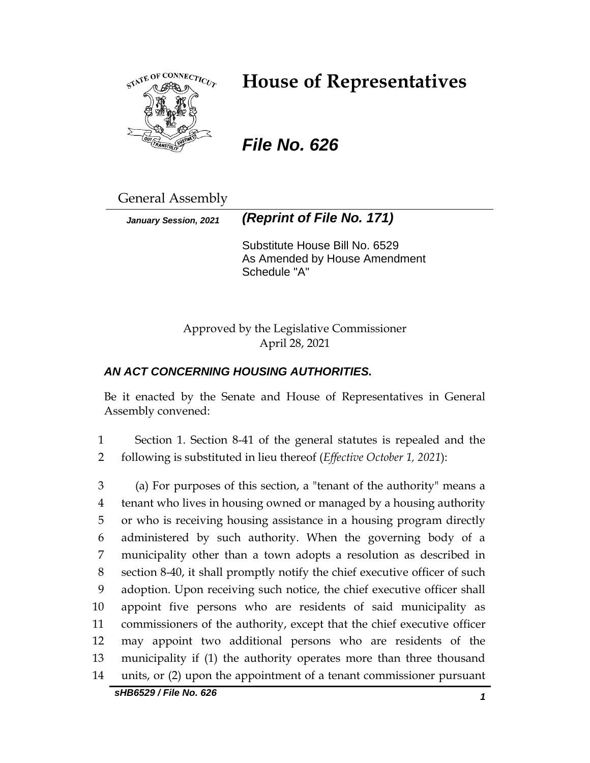

# **House of Representatives**

*File No. 626*

General Assembly

*January Session, 2021 (Reprint of File No. 171)*

Substitute House Bill No. 6529 As Amended by House Amendment Schedule "A"

Approved by the Legislative Commissioner April 28, 2021

## *AN ACT CONCERNING HOUSING AUTHORITIES.*

Be it enacted by the Senate and House of Representatives in General Assembly convened:

1 Section 1. Section 8-41 of the general statutes is repealed and the 2 following is substituted in lieu thereof (*Effective October 1, 2021*):

 (a) For purposes of this section, a "tenant of the authority" means a tenant who lives in housing owned or managed by a housing authority or who is receiving housing assistance in a housing program directly administered by such authority. When the governing body of a municipality other than a town adopts a resolution as described in section 8-40, it shall promptly notify the chief executive officer of such adoption. Upon receiving such notice, the chief executive officer shall appoint five persons who are residents of said municipality as commissioners of the authority, except that the chief executive officer may appoint two additional persons who are residents of the municipality if (1) the authority operates more than three thousand units, or (2) upon the appointment of a tenant commissioner pursuant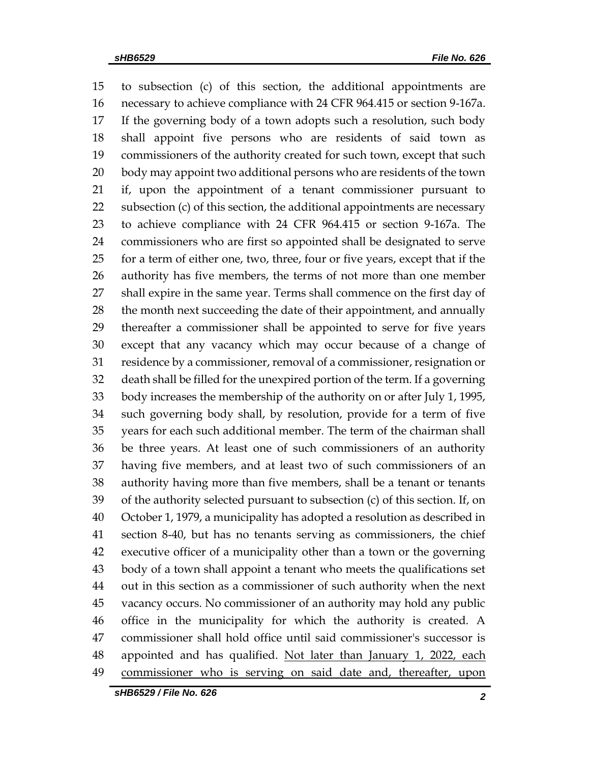to subsection (c) of this section, the additional appointments are necessary to achieve compliance with 24 CFR 964.415 or section 9-167a. If the governing body of a town adopts such a resolution, such body shall appoint five persons who are residents of said town as commissioners of the authority created for such town, except that such body may appoint two additional persons who are residents of the town if, upon the appointment of a tenant commissioner pursuant to subsection (c) of this section, the additional appointments are necessary to achieve compliance with 24 CFR 964.415 or section 9-167a. The commissioners who are first so appointed shall be designated to serve for a term of either one, two, three, four or five years, except that if the authority has five members, the terms of not more than one member shall expire in the same year. Terms shall commence on the first day of the month next succeeding the date of their appointment, and annually thereafter a commissioner shall be appointed to serve for five years except that any vacancy which may occur because of a change of residence by a commissioner, removal of a commissioner, resignation or death shall be filled for the unexpired portion of the term. If a governing body increases the membership of the authority on or after July 1, 1995, such governing body shall, by resolution, provide for a term of five years for each such additional member. The term of the chairman shall be three years. At least one of such commissioners of an authority having five members, and at least two of such commissioners of an authority having more than five members, shall be a tenant or tenants of the authority selected pursuant to subsection (c) of this section. If, on October 1, 1979, a municipality has adopted a resolution as described in section 8-40, but has no tenants serving as commissioners, the chief executive officer of a municipality other than a town or the governing body of a town shall appoint a tenant who meets the qualifications set out in this section as a commissioner of such authority when the next vacancy occurs. No commissioner of an authority may hold any public office in the municipality for which the authority is created. A commissioner shall hold office until said commissioner's successor is 48 appointed and has qualified. Not later than January 1, 2022, each commissioner who is serving on said date and, thereafter, upon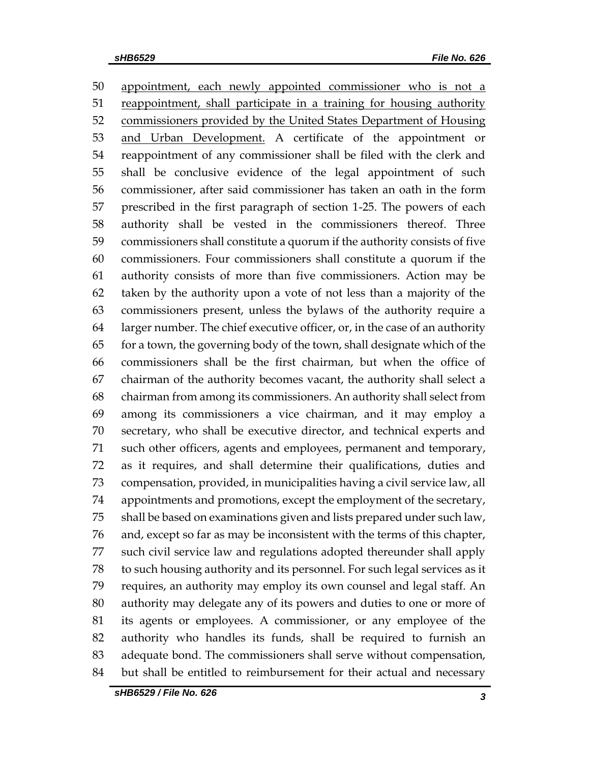appointment, each newly appointed commissioner who is not a 51 reappointment, shall participate in a training for housing authority commissioners provided by the United States Department of Housing and Urban Development. A certificate of the appointment or reappointment of any commissioner shall be filed with the clerk and shall be conclusive evidence of the legal appointment of such commissioner, after said commissioner has taken an oath in the form prescribed in the first paragraph of section 1-25. The powers of each authority shall be vested in the commissioners thereof. Three commissioners shall constitute a quorum if the authority consists of five commissioners. Four commissioners shall constitute a quorum if the authority consists of more than five commissioners. Action may be taken by the authority upon a vote of not less than a majority of the commissioners present, unless the bylaws of the authority require a larger number. The chief executive officer, or, in the case of an authority for a town, the governing body of the town, shall designate which of the commissioners shall be the first chairman, but when the office of chairman of the authority becomes vacant, the authority shall select a chairman from among its commissioners. An authority shall select from among its commissioners a vice chairman, and it may employ a secretary, who shall be executive director, and technical experts and such other officers, agents and employees, permanent and temporary, as it requires, and shall determine their qualifications, duties and compensation, provided, in municipalities having a civil service law, all appointments and promotions, except the employment of the secretary, shall be based on examinations given and lists prepared under such law, and, except so far as may be inconsistent with the terms of this chapter, such civil service law and regulations adopted thereunder shall apply to such housing authority and its personnel. For such legal services as it requires, an authority may employ its own counsel and legal staff. An authority may delegate any of its powers and duties to one or more of its agents or employees. A commissioner, or any employee of the authority who handles its funds, shall be required to furnish an adequate bond. The commissioners shall serve without compensation, but shall be entitled to reimbursement for their actual and necessary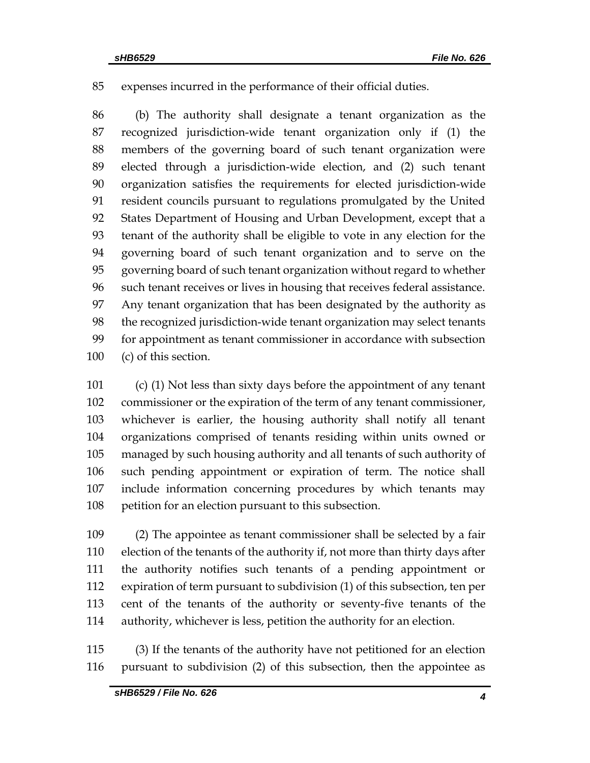expenses incurred in the performance of their official duties.

 (b) The authority shall designate a tenant organization as the recognized jurisdiction-wide tenant organization only if (1) the members of the governing board of such tenant organization were elected through a jurisdiction-wide election, and (2) such tenant organization satisfies the requirements for elected jurisdiction-wide resident councils pursuant to regulations promulgated by the United States Department of Housing and Urban Development, except that a tenant of the authority shall be eligible to vote in any election for the governing board of such tenant organization and to serve on the governing board of such tenant organization without regard to whether such tenant receives or lives in housing that receives federal assistance. Any tenant organization that has been designated by the authority as the recognized jurisdiction-wide tenant organization may select tenants for appointment as tenant commissioner in accordance with subsection (c) of this section.

 (c) (1) Not less than sixty days before the appointment of any tenant commissioner or the expiration of the term of any tenant commissioner, whichever is earlier, the housing authority shall notify all tenant organizations comprised of tenants residing within units owned or managed by such housing authority and all tenants of such authority of such pending appointment or expiration of term. The notice shall include information concerning procedures by which tenants may petition for an election pursuant to this subsection.

 (2) The appointee as tenant commissioner shall be selected by a fair election of the tenants of the authority if, not more than thirty days after the authority notifies such tenants of a pending appointment or expiration of term pursuant to subdivision (1) of this subsection, ten per cent of the tenants of the authority or seventy-five tenants of the authority, whichever is less, petition the authority for an election.

 (3) If the tenants of the authority have not petitioned for an election pursuant to subdivision (2) of this subsection, then the appointee as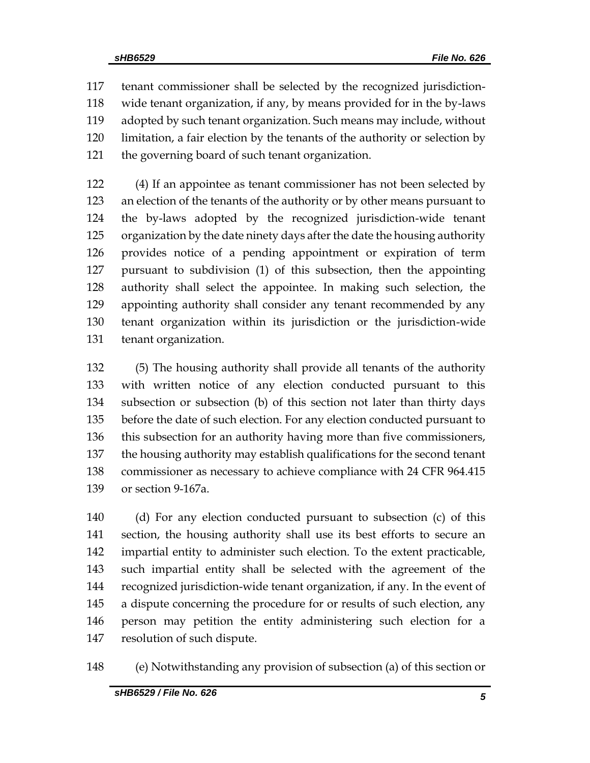tenant commissioner shall be selected by the recognized jurisdiction- wide tenant organization, if any, by means provided for in the by-laws adopted by such tenant organization. Such means may include, without limitation, a fair election by the tenants of the authority or selection by the governing board of such tenant organization.

 (4) If an appointee as tenant commissioner has not been selected by an election of the tenants of the authority or by other means pursuant to the by-laws adopted by the recognized jurisdiction-wide tenant organization by the date ninety days after the date the housing authority provides notice of a pending appointment or expiration of term pursuant to subdivision (1) of this subsection, then the appointing authority shall select the appointee. In making such selection, the appointing authority shall consider any tenant recommended by any tenant organization within its jurisdiction or the jurisdiction-wide tenant organization.

 (5) The housing authority shall provide all tenants of the authority with written notice of any election conducted pursuant to this subsection or subsection (b) of this section not later than thirty days before the date of such election. For any election conducted pursuant to this subsection for an authority having more than five commissioners, the housing authority may establish qualifications for the second tenant commissioner as necessary to achieve compliance with 24 CFR 964.415 or section 9-167a.

 (d) For any election conducted pursuant to subsection (c) of this section, the housing authority shall use its best efforts to secure an impartial entity to administer such election. To the extent practicable, such impartial entity shall be selected with the agreement of the recognized jurisdiction-wide tenant organization, if any. In the event of a dispute concerning the procedure for or results of such election, any person may petition the entity administering such election for a resolution of such dispute.

(e) Notwithstanding any provision of subsection (a) of this section or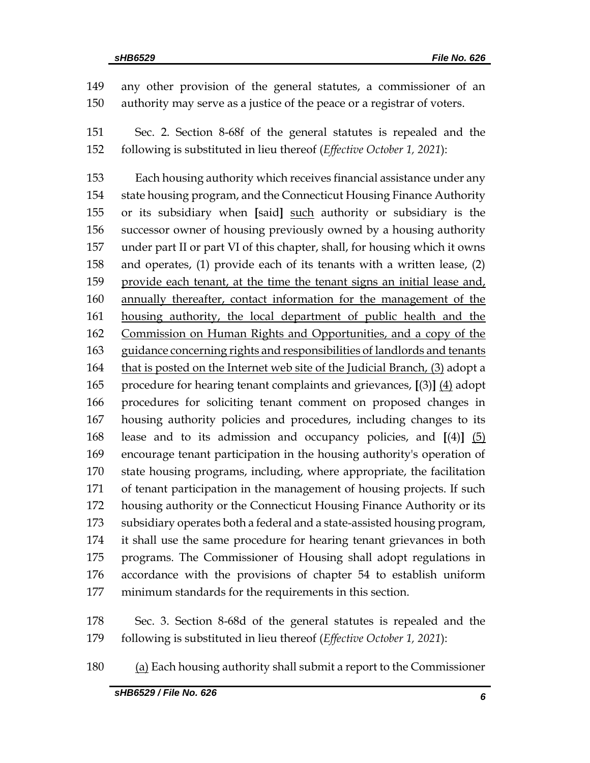any other provision of the general statutes, a commissioner of an authority may serve as a justice of the peace or a registrar of voters.

 Sec. 2. Section 8-68f of the general statutes is repealed and the following is substituted in lieu thereof (*Effective October 1, 2021*):

 Each housing authority which receives financial assistance under any state housing program, and the Connecticut Housing Finance Authority or its subsidiary when **[**said**]** such authority or subsidiary is the successor owner of housing previously owned by a housing authority under part II or part VI of this chapter, shall, for housing which it owns and operates, (1) provide each of its tenants with a written lease, (2) provide each tenant, at the time the tenant signs an initial lease and, 160 annually thereafter, contact information for the management of the housing authority, the local department of public health and the Commission on Human Rights and Opportunities, and a copy of the 163 guidance concerning rights and responsibilities of landlords and tenants 164 that is posted on the Internet web site of the Judicial Branch, (3) adopt a procedure for hearing tenant complaints and grievances, **[**(3)**]** (4) adopt procedures for soliciting tenant comment on proposed changes in housing authority policies and procedures, including changes to its lease and to its admission and occupancy policies, and **[**(4)**]** (5) encourage tenant participation in the housing authority's operation of state housing programs, including, where appropriate, the facilitation of tenant participation in the management of housing projects. If such housing authority or the Connecticut Housing Finance Authority or its subsidiary operates both a federal and a state-assisted housing program, it shall use the same procedure for hearing tenant grievances in both programs. The Commissioner of Housing shall adopt regulations in accordance with the provisions of chapter 54 to establish uniform minimum standards for the requirements in this section.

 Sec. 3. Section 8-68d of the general statutes is repealed and the following is substituted in lieu thereof (*Effective October 1, 2021*):

(a) Each housing authority shall submit a report to the Commissioner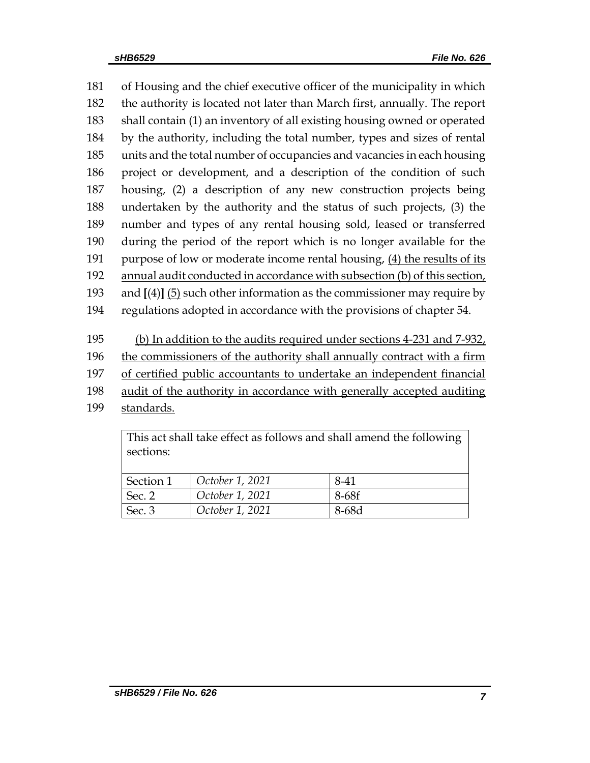of Housing and the chief executive officer of the municipality in which the authority is located not later than March first, annually. The report shall contain (1) an inventory of all existing housing owned or operated by the authority, including the total number, types and sizes of rental units and the total number of occupancies and vacancies in each housing project or development, and a description of the condition of such housing, (2) a description of any new construction projects being undertaken by the authority and the status of such projects, (3) the number and types of any rental housing sold, leased or transferred during the period of the report which is no longer available for the 191 purpose of low or moderate income rental housing, (4) the results of its annual audit conducted in accordance with subsection (b) of this section, and **[**(4)**]** (5) such other information as the commissioner may require by regulations adopted in accordance with the provisions of chapter 54.

(b) In addition to the audits required under sections 4-231 and 7-932,

the commissioners of the authority shall annually contract with a firm

of certified public accountants to undertake an independent financial

- audit of the authority in accordance with generally accepted auditing
- standards.

This act shall take effect as follows and shall amend the following sections:

| Section 1 | October 1, 2021 | 8-41  |
|-----------|-----------------|-------|
| Sec. 2    | October 1, 2021 | 8-68f |
| Sec. 3    | October 1, 2021 | 8-68d |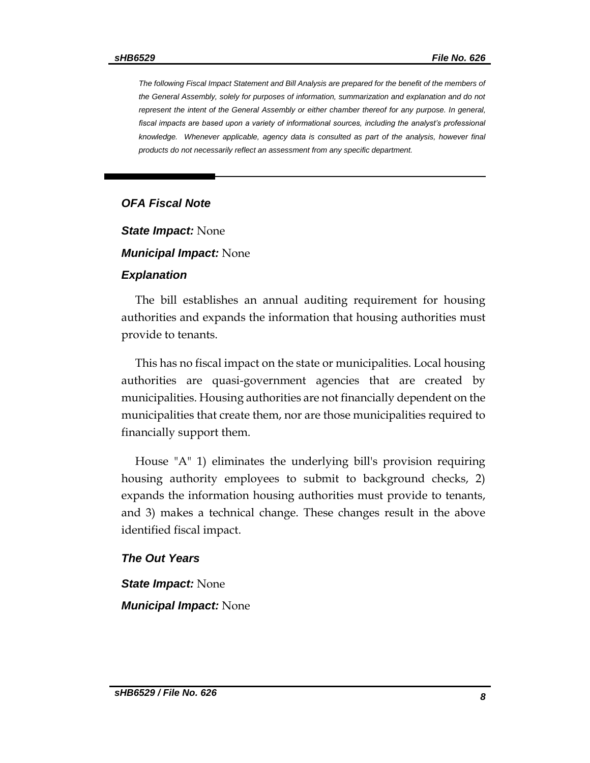*The following Fiscal Impact Statement and Bill Analysis are prepared for the benefit of the members of the General Assembly, solely for purposes of information, summarization and explanation and do not represent the intent of the General Assembly or either chamber thereof for any purpose. In general,*  fiscal impacts are based upon a variety of informational sources, including the analyst's professional *knowledge. Whenever applicable, agency data is consulted as part of the analysis, however final products do not necessarily reflect an assessment from any specific department.*

#### *OFA Fiscal Note*

*State Impact:* None

*Municipal Impact:* None

#### *Explanation*

The bill establishes an annual auditing requirement for housing authorities and expands the information that housing authorities must provide to tenants.

This has no fiscal impact on the state or municipalities. Local housing authorities are quasi-government agencies that are created by municipalities. Housing authorities are not financially dependent on the municipalities that create them, nor are those municipalities required to financially support them.

House "A" 1) eliminates the underlying bill's provision requiring housing authority employees to submit to background checks, 2) expands the information housing authorities must provide to tenants, and 3) makes a technical change. These changes result in the above identified fiscal impact.

#### *The Out Years*

*State Impact:* None

*Municipal Impact:* None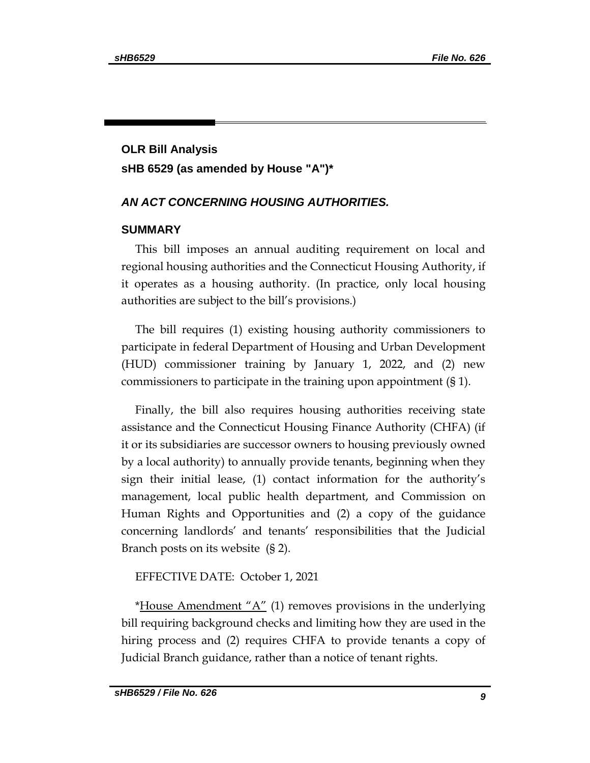# **OLR Bill Analysis sHB 6529 (as amended by House "A")\***

#### *AN ACT CONCERNING HOUSING AUTHORITIES.*

#### **SUMMARY**

This bill imposes an annual auditing requirement on local and regional housing authorities and the Connecticut Housing Authority, if it operates as a housing authority. (In practice, only local housing authorities are subject to the bill's provisions.)

The bill requires (1) existing housing authority commissioners to participate in federal Department of Housing and Urban Development (HUD) commissioner training by January 1, 2022, and (2) new commissioners to participate in the training upon appointment (§ 1).

Finally, the bill also requires housing authorities receiving state assistance and the Connecticut Housing Finance Authority (CHFA) (if it or its subsidiaries are successor owners to housing previously owned by a local authority) to annually provide tenants, beginning when they sign their initial lease, (1) contact information for the authority's management, local public health department, and Commission on Human Rights and Opportunities and (2) a copy of the guidance concerning landlords' and tenants' responsibilities that the Judicial Branch posts on its website (§ 2).

#### EFFECTIVE DATE: October 1, 2021

\*House Amendment  $A''(1)$  removes provisions in the underlying bill requiring background checks and limiting how they are used in the hiring process and (2) requires CHFA to provide tenants a copy of Judicial Branch guidance, rather than a notice of tenant rights.